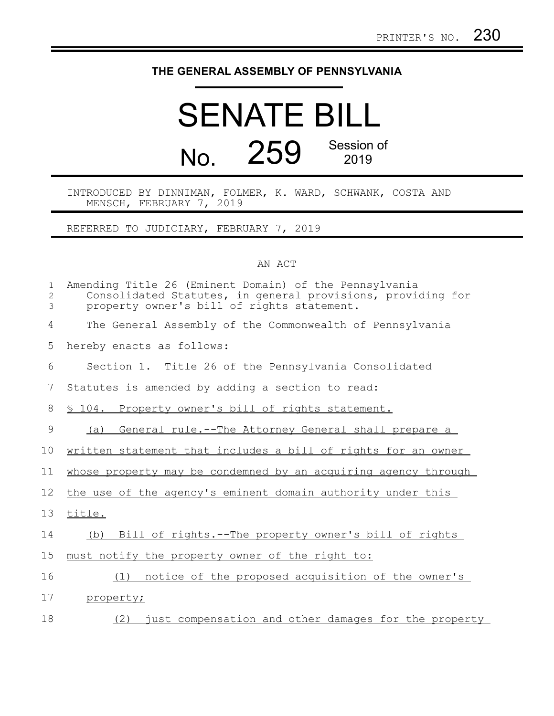## **THE GENERAL ASSEMBLY OF PENNSYLVANIA**

## SENATE BILL No. 259 Session of 2019

INTRODUCED BY DINNIMAN, FOLMER, K. WARD, SCHWANK, COSTA AND MENSCH, FEBRUARY 7, 2019

REFERRED TO JUDICIARY, FEBRUARY 7, 2019

## AN ACT

| $\mathbf 1$<br>2<br>3 | Amending Title 26 (Eminent Domain) of the Pennsylvania<br>Consolidated Statutes, in general provisions, providing for<br>property owner's bill of rights statement. |
|-----------------------|---------------------------------------------------------------------------------------------------------------------------------------------------------------------|
| 4                     | The General Assembly of the Commonwealth of Pennsylvania                                                                                                            |
| 5                     | hereby enacts as follows:                                                                                                                                           |
| 6                     | Section 1. Title 26 of the Pennsylvania Consolidated                                                                                                                |
| 7                     | Statutes is amended by adding a section to read:                                                                                                                    |
| 8                     | \$ 104. Property owner's bill of rights statement.                                                                                                                  |
| 9                     | General rule.--The Attorney General shall prepare a<br>(a)                                                                                                          |
| 10                    | written statement that includes a bill of rights for an owner                                                                                                       |
| 11                    | whose property may be condemned by an acquiring agency through                                                                                                      |
| 12 <sup>°</sup>       | the use of the agency's eminent domain authority under this                                                                                                         |
| 13                    | title.                                                                                                                                                              |
| 14                    | (b) Bill of rights.--The property owner's bill of rights                                                                                                            |
| 15                    | must notify the property owner of the right to:                                                                                                                     |
| 16                    | notice of the proposed acquisition of the owner's<br>(1)                                                                                                            |
| 17                    | property;                                                                                                                                                           |
| 18                    | (2) just compensation and other damages for the property                                                                                                            |